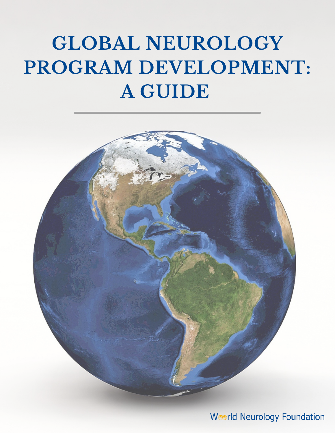# **GLOBAL NEUROLOGY PROGRAM DEVELOPMENT: A GUIDE**



**World Neurology Foundation**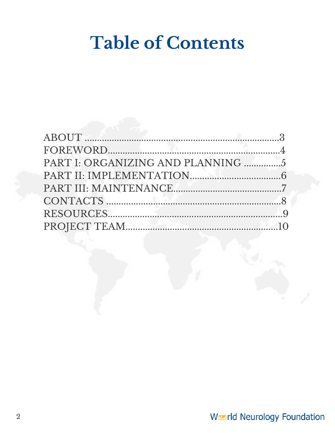## **Table of Contents**

| PART I: ORGANIZING AND PLANNING 5 |  |
|-----------------------------------|--|
|                                   |  |
|                                   |  |
|                                   |  |
|                                   |  |
|                                   |  |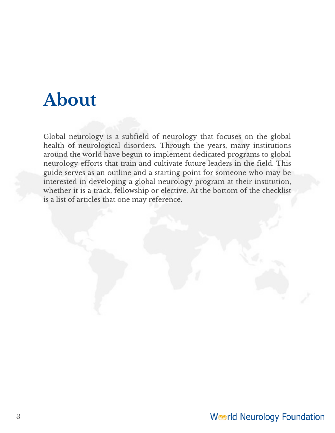### **About**

Global neurology is a subfield of neurology that focuses on the global health of neurological disorders. Through the years, many institutions around the world have begun to implement dedicated programs to global neurology efforts that train and cultivate future leaders in the field. This guide serves as an outline and a starting point for someone who may be interested in developing a global neurology program at their institution, whether it is a track, fellowship or elective. At the bottom of the checklist is a list of articles that one may reference.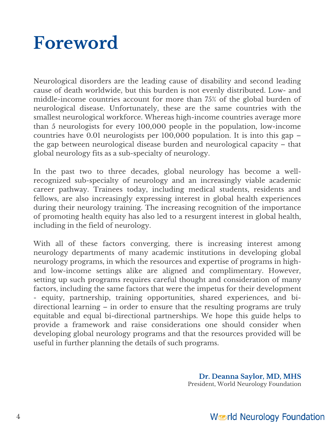## **Foreword**

Neurological disorders are the leading cause of disability and second leading cause of death worldwide, but this burden is not evenly distributed. Low- and middle-income countries account for more than 75% of the global burden of neurological disease. Unfortunately, these are the same countries with the smallest neurological workforce. Whereas high-income countries average more than 5 neurologists for every 100,000 people in the population, low-income countries have 0.01 neurologists per 100,000 population. It is into this gap – the gap between neurological disease burden and neurological capacity – that global neurology fits as a sub-specialty of neurology.

In the past two to three decades, global neurology has become a wellrecognized sub-specialty of neurology and an increasingly viable academic career pathway. Trainees today, including medical students, residents and fellows, are also increasingly expressing interest in global health experiences during their neurology training. The increasing recognition of the importance of promoting health equity has also led to a resurgent interest in global health, including in the field of neurology.

With all of these factors converging, there is increasing interest among neurology departments of many academic institutions in developing global neurology programs, in which the resources and expertise of programs in highand low-income settings alike are aligned and complimentary. However, setting up such programs requires careful thought and consideration of many factors, including the same factors that were the impetus for their development - equity, partnership, training opportunities, shared experiences, and bidirectional learning – in order to ensure that the resulting programs are truly equitable and equal bi-directional partnerships. We hope this guide helps to provide a framework and raise considerations one should consider when developing global neurology programs and that the resources provided will be useful in further planning the details of such programs.

> **Dr. Deanna Saylor, MD, MHS** President, World Neurology Foundation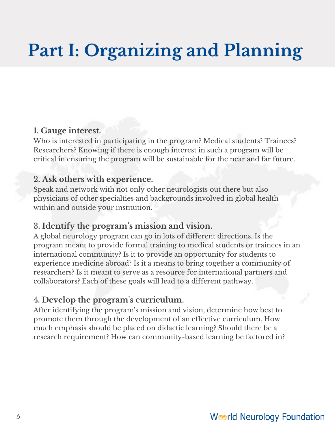## **Part I: Organizing and Planning**

#### **1. Gauge interest.**

Who is interested in participating in the program? Medical students? Trainees? Researchers? Knowing if there is enough interest in such a program will be critical in ensuring the program will be sustainable for the near and far future.

#### 2**. Ask others with experience.**

Speak and network with not only other neurologists out there but also physicians of other specialties and backgrounds involved in global health within and outside your institution.

#### 3**. Identify the program's mission and vision.**

A global neurology program can go in lots of different directions. Is the program meant to provide formal training to medical students or trainees in an international community? Is it to provide an opportunity for students to experience medicine abroad? Is it a means to bring together a community of researchers? Is it meant to serve as a resource for international partners and collaborators? Each of these goals will lead to a different pathway.

#### 4**. Develop the program's curriculum.**

After identifying the program's mission and vision, determine how best to promote them through the development of an effective curriculum. How much emphasis should be placed on didactic learning? Should there be a research requirement? How can community-based learning be factored in?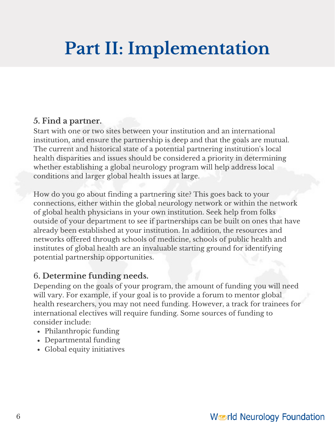# **Part II: Implementation**

#### **5. Find a partner.**

Start with one or two sites between your institution and an international institution, and ensure the partnership is deep and that the goals are mutual. The current and historical state of a potential partnering institution's local health disparities and issues should be considered a priority in determining whether establishing a global neurology program will help address local conditions and larger global health issues at large.

How do you go about finding a partnering site? This goes back to your connections, either within the global neurology network or within the network of global health physicians in your own institution. Seek help from folks outside of your department to see if partnerships can be built on ones that have already been established at your institution. In addition, the resources and networks offered through schools of medicine, schools of public health and institutes of global health are an invaluable starting ground for identifying potential partnership opportunities.

#### 6**. Determine funding needs.**

Depending on the goals of your program, the amount of funding you will need will vary. For example, if your goal is to provide a forum to mentor global health researchers, you may not need funding. However, a track for trainees for international electives will require funding. Some sources of funding to consider include:

- Philanthropic funding
- Departmental funding
- Global equity initiatives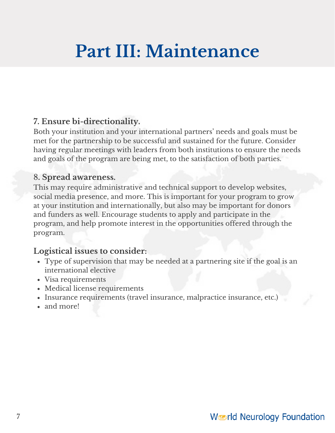## **Part III: Maintenance**

#### **7. Ensure bi-directionality.**

Both your institution and your international partners' needs and goals must be met for the partnership to be successful and sustained for the future. Consider having regular meetings with leaders from both institutions to ensure the needs and goals of the program are being met, to the satisfaction of both parties.

#### 8**. Spread awareness.**

This may require administrative and technical support to develop websites, social media presence, and more. This is important for your program to grow at your institution and internationally, but also may be important for donors and funders as well. Encourage students to apply and participate in the program, and help promote interest in the opportunities offered through the program.

#### **Logistical issues to consider:**

- Type of supervision that may be needed at a partnering site if the goal is an international elective
- Visa requirements
- Medical license requirements
- Insurance requirements (travel insurance, malpractice insurance, etc.)
- and more!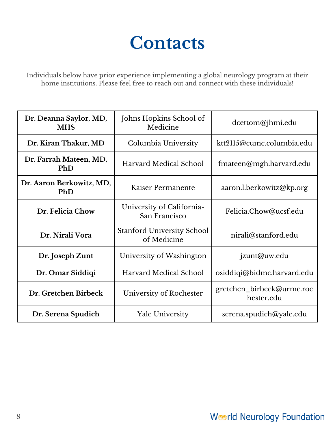### **Contacts**

Individuals below have prior experience implementing a global neurology program at their home institutions. Please feel free to reach out and connect with these individuals!

| Dr. Deanna Saylor, MD,<br><b>MHS</b> | Johns Hopkins School of<br>Medicine              | dcettom@jhmi.edu                        |
|--------------------------------------|--------------------------------------------------|-----------------------------------------|
| Dr. Kiran Thakur, MD                 | Columbia University                              | ktt2115@cumc.columbia.edu               |
| Dr. Farrah Mateen, MD,<br>PhD        | Harvard Medical School                           | fmateen@mgh.harvard.edu                 |
| Dr. Aaron Berkowitz, MD,<br>PhD      | Kaiser Permanente                                | aaron.l.berkowitz@kp.org                |
| Dr. Felicia Chow                     | University of California-<br>San Francisco       | Felicia.Chow@ucsf.edu                   |
| Dr. Nirali Vora                      | <b>Stanford University School</b><br>of Medicine | nirali@stanford.edu                     |
| Dr. Joseph Zunt                      | University of Washington                         | jzunt@uw.edu                            |
| Dr. Omar Siddiqi                     | Harvard Medical School                           | osiddiqi@bidmc.harvard.edu              |
| Dr. Gretchen Birbeck                 | University of Rochester                          | gretchen_birbeck@urmc.roc<br>hester.edu |
| Dr. Serena Spudich                   | <b>Yale University</b>                           | serena.spudich@yale.edu                 |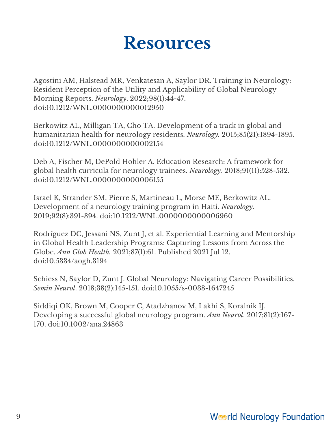### **Resources**

Agostini AM, Halstead MR, Venkatesan A, Saylor DR. Training in Neurology: Resident Perception of the Utility and Applicability of Global Neurology Morning Reports. *Neurology*. 2022;98(1):44-47. doi:10.1212/WNL.0000000000012950

Berkowitz AL, Milligan TA, Cho TA. Development of a track in global and humanitarian health for neurology residents. *[Neurology.](https://pubmed.ncbi.nlm.nih.gov/26598431/)* [2015;85\(21\):1894-18](https://pubmed.ncbi.nlm.nih.gov/26598431/)95. [doi:10.1212/WNL.0000000000002154](https://pubmed.ncbi.nlm.nih.gov/26598431/)

Deb A, Fischer M, DePold Hohler A. Education Research: A framework for global health curricula for neurology trainees. *Neurology.* 2018;91(11):528-532. doi:10.1212/WNL.0000000000006155

Israel K, Strander SM, Pierre S, Martineau L, Morse ME, Berkowitz AL. [Development](https://pubmed.ncbi.nlm.nih.gov/30777912/) of a neurology training program in Haiti. *[Neurology](https://pubmed.ncbi.nlm.nih.gov/30777912/)*. 2019;92(8):391-394. [doi:10.1212/WNL.0000000000006960](https://pubmed.ncbi.nlm.nih.gov/30777912/)

Rodríguez DC, Jessani NS, Zunt J, et al. Experiential Learning and Mentorship in Global Health Leadership Programs: Capturing Lessons from Across the Globe. *Ann Glob [Health.](https://pubmed.ncbi.nlm.nih.gov/34307064/)* [2021;87\(1\):61.](https://pubmed.ncbi.nlm.nih.gov/34307064/) Published 2021 Jul 12. [doi:10.5334/aogh.3194](https://pubmed.ncbi.nlm.nih.gov/34307064/)

Schiess N, Saylor D, Zunt J. Global Neurology: Navigating Career Possibilities. *Semin Neurol*. 2018;38(2):145-151. doi:10.1055/s-0038-1647245

Siddiqi OK, Brown M, Cooper C, [Atadzhanov](https://pubmed.ncbi.nlm.nih.gov/28019673/) M, Lakhi S, Koralnik IJ. Developing a successful global neurology program. *Ann [Neurol](https://pubmed.ncbi.nlm.nih.gov/28019673/)*. 2017;81(2):167- 170. [doi:10.1002/ana.24863](https://pubmed.ncbi.nlm.nih.gov/28019673/)